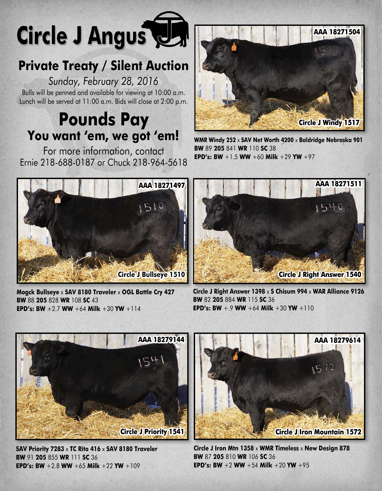

## **Private Treaty / Silent Auction**

*Sunday, February 28, 2016* Bulls will be penned and available for viewing at 10:00 a.m. Lunch will be served at 11:00 a.m. Bids will close at 2:00 p.m.

# **Pounds Pay You want 'em, we got 'em!**

For more information, contact Ernie 218-688-0187 or Chuck 218-964-5618



**WMR Windy 252** x **SAV Net Worth 4200** x **Baldridge Nebraska 901 BW** 89 **205** 841 **WR** 110 **SC** 38 **EPD's: BW** +1.5 **WW** +60 **Milk** +29 **YW** +97



**Mogck Bullseye** x **SAV 8180 Traveler** x **OGL Battle Cry 427 BW** 88 **205** 828 **WR** 108 **SC** 43 **EPD's: BW** +2.7 **WW** +64 **Milk** +30 **YW** +114



**Circle J Right Answer 1398** x **S Chisum 994** x **WAR Alliance 9126 BW** 82 **205** 884 **WR** 115 **SC** 36 **EPD's: BW**  $+9$  WW  $+64$  Milk  $+30$  YW  $+110$ 



**SAV Priority 7283** x **TC Rito 416** x **SAV 8180 Traveler BW** 91 **205** 855 **WR** 111 **SC** 36 **EPD's: BW** +2.8 **WW** +65 **Milk** +22 **YW** +109



**Circle J Iron Mtn 1358** x **WMR Timeless** x **New Design 878 BW** 87 **205** 810 **WR** 106 **SC** 36 **EPD's: BW** +2 WW +54 Milk +20 YW +95